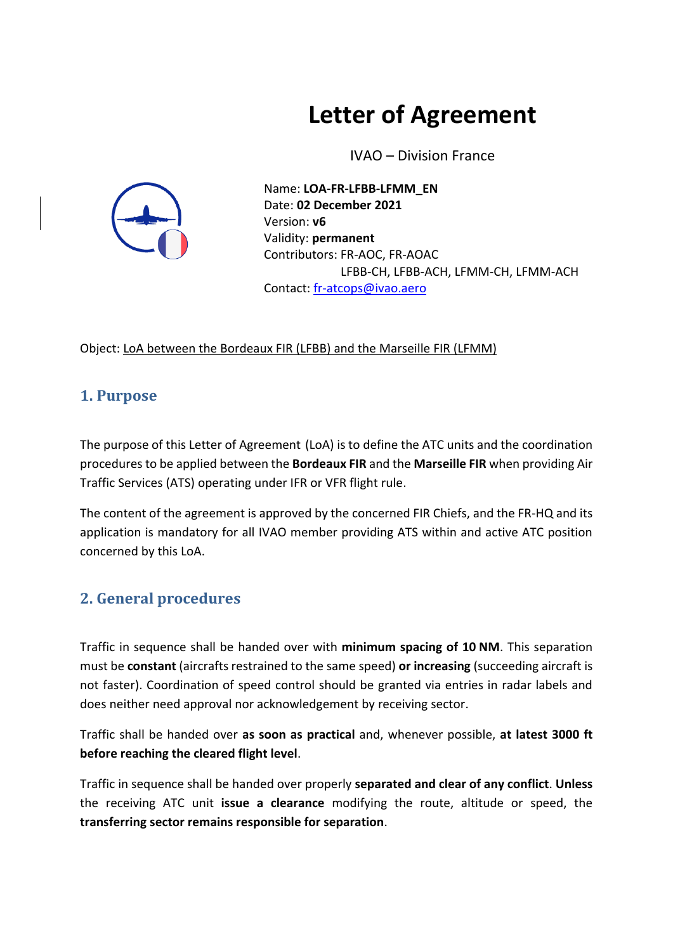# **Letter of Agreement**

IVAO – Division France



Name: **LOA-FR-LFBB-LFMM\_EN** Date: **02 December 2021** Version: **v6** Validity: **permanent** Contributors: FR-AOC, FR-AOAC LFBB-CH, LFBB-ACH, LFMM-CH, LFMM-ACH Contact: [fr-atcops@ivao.aero](mailto:fr-atcops@ivao.aero)

Object: LoA between the Bordeaux FIR (LFBB) and the Marseille FIR (LFMM)

# **1. Purpose**

The purpose of this Letter of Agreement (LoA) is to define the ATC units and the coordination procedures to be applied between the **Bordeaux FIR** and the **Marseille FIR** when providing Air Traffic Services (ATS) operating under IFR or VFR flight rule.

The content of the agreement is approved by the concerned FIR Chiefs, and the FR-HQ and its application is mandatory for all IVAO member providing ATS within and active ATC position concerned by this LoA.

# **2. General procedures**

Traffic in sequence shall be handed over with **minimum spacing of 10 NM**. This separation must be **constant** (aircrafts restrained to the same speed) **or increasing** (succeeding aircraft is not faster). Coordination of speed control should be granted via entries in radar labels and does neither need approval nor acknowledgement by receiving sector.

Traffic shall be handed over **as soon as practical** and, whenever possible, **at latest 3000 ft before reaching the cleared flight level**.

Traffic in sequence shall be handed over properly **separated and clear of any conflict**. **Unless**  the receiving ATC unit **issue a clearance** modifying the route, altitude or speed, the **transferring sector remains responsible for separation**.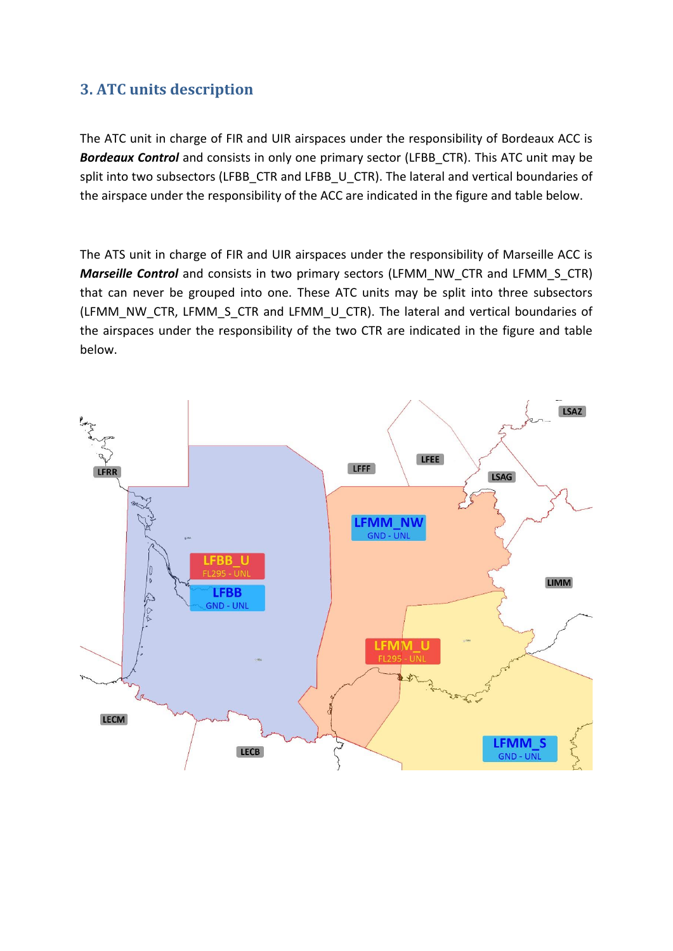## **3. ATC units description**

The ATC unit in charge of FIR and UIR airspaces under the responsibility of Bordeaux ACC is **Bordeaux Control** and consists in only one primary sector (LFBB CTR). This ATC unit may be split into two subsectors (LFBB\_CTR and LFBB\_U\_CTR). The lateral and vertical boundaries of the airspace under the responsibility of the ACC are indicated in the figure and table below.

The ATS unit in charge of FIR and UIR airspaces under the responsibility of Marseille ACC is *Marseille Control* and consists in two primary sectors (LFMM\_NW\_CTR and LFMM\_S\_CTR) that can never be grouped into one. These ATC units may be split into three subsectors (LFMM\_NW\_CTR, LFMM\_S\_CTR and LFMM\_U\_CTR). The lateral and vertical boundaries of the airspaces under the responsibility of the two CTR are indicated in the figure and table below.

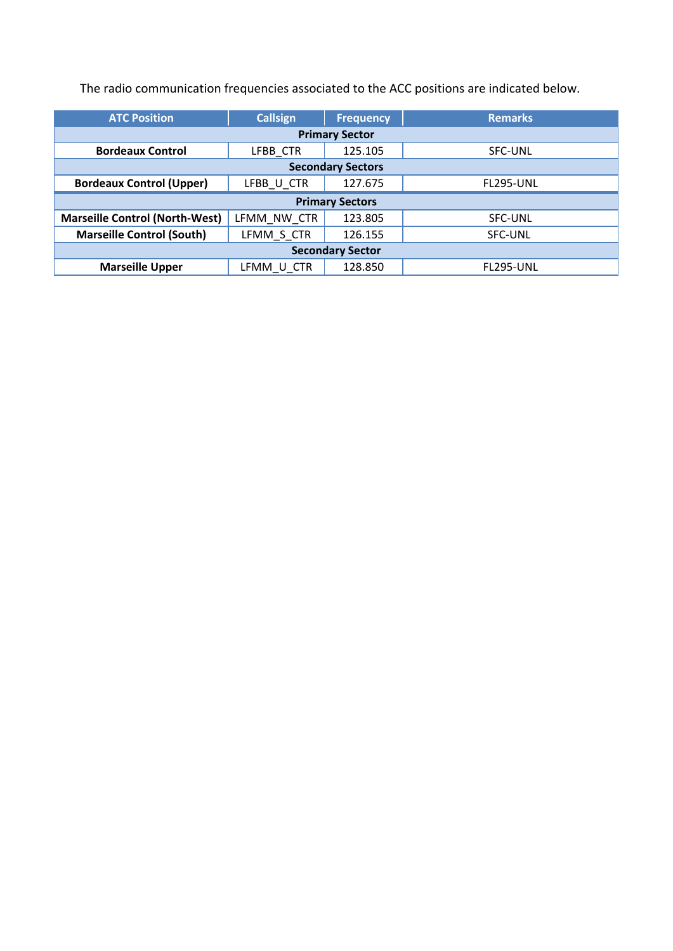The radio communication frequencies associated to the ACC positions are indicated below.

| <b>ATC Position</b>                   | <b>Callsign</b> | <b>Frequency</b> | <b>Remarks</b>   |  |
|---------------------------------------|-----------------|------------------|------------------|--|
| <b>Primary Sector</b>                 |                 |                  |                  |  |
| <b>Bordeaux Control</b>               | LFBB CTR        | 125.105          | <b>SFC-UNL</b>   |  |
| <b>Secondary Sectors</b>              |                 |                  |                  |  |
| <b>Bordeaux Control (Upper)</b>       | LFBB U CTR      | 127.675          | <b>FL295-UNL</b> |  |
| <b>Primary Sectors</b>                |                 |                  |                  |  |
| <b>Marseille Control (North-West)</b> | LFMM NW CTR     | 123.805          | SFC-UNL          |  |
| <b>Marseille Control (South)</b>      | LFMM S CTR      | 126.155          | <b>SFC-UNL</b>   |  |
| <b>Secondary Sector</b>               |                 |                  |                  |  |
| <b>Marseille Upper</b>                | LFMM U CTR      | 128.850          | <b>FL295-UNL</b> |  |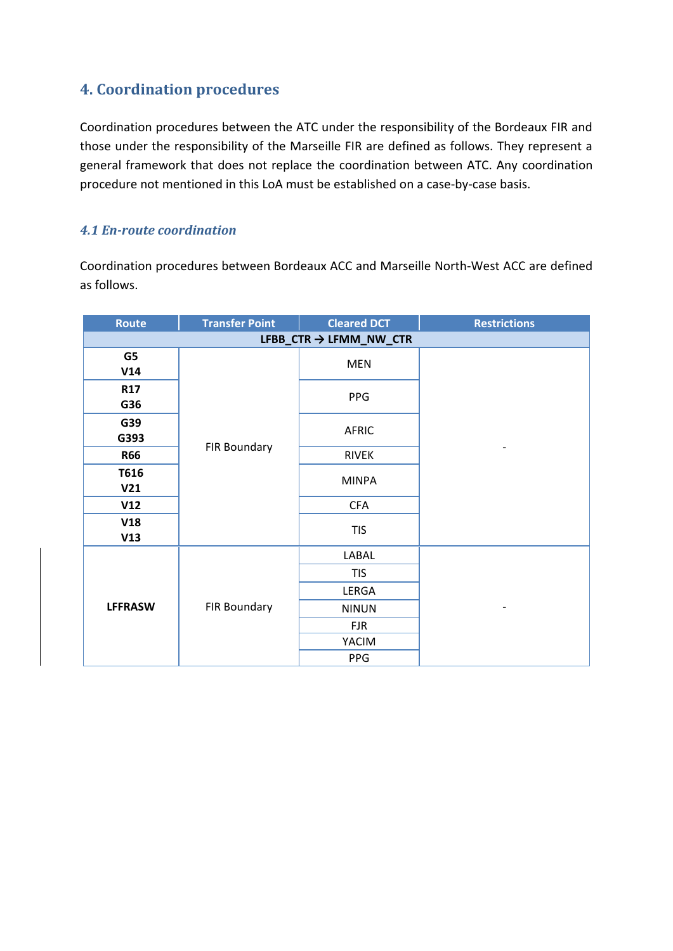# **4. Coordination procedures**

Coordination procedures between the ATC under the responsibility of the Bordeaux FIR and those under the responsibility of the Marseille FIR are defined as follows. They represent a general framework that does not replace the coordination between ATC. Any coordination procedure not mentioned in this LoA must be established on a case-by-case basis.

#### *4.1 En-route coordination*

Coordination procedures between Bordeaux ACC and Marseille North-West ACC are defined as follows.

| Route                   | <b>Transfer Point</b> | <b>Cleared DCT</b> | <b>Restrictions</b> |  |
|-------------------------|-----------------------|--------------------|---------------------|--|
| LFBB_CTR → LFMM_NW_CTR  |                       |                    |                     |  |
| G5<br>V14               | FIR Boundary          | <b>MEN</b>         |                     |  |
| <b>R17</b><br>G36       |                       | PPG                |                     |  |
| G39<br>G393             |                       | <b>AFRIC</b>       |                     |  |
| <b>R66</b>              |                       | <b>RIVEK</b>       |                     |  |
| T616<br>V <sub>21</sub> |                       | <b>MINPA</b>       |                     |  |
| V12                     |                       | <b>CFA</b>         |                     |  |
| V18<br>V13              |                       | <b>TIS</b>         |                     |  |
| <b>LFFRASW</b>          | FIR Boundary          | LABAL              |                     |  |
|                         |                       | <b>TIS</b>         |                     |  |
|                         |                       | LERGA              |                     |  |
|                         |                       | <b>NINUN</b>       |                     |  |
|                         |                       | <b>FJR</b>         |                     |  |
|                         |                       | YACIM              |                     |  |
|                         |                       | PPG                |                     |  |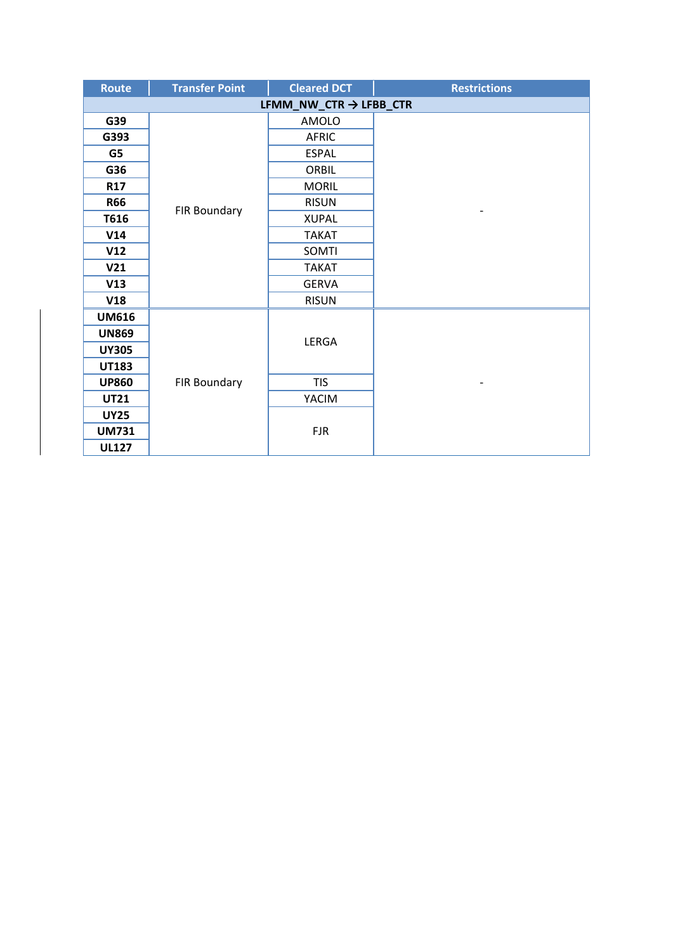| Route                              | <b>Transfer Point</b> | <b>Cleared DCT</b> | <b>Restrictions</b> |
|------------------------------------|-----------------------|--------------------|---------------------|
| LFMM_NW_CTR $\rightarrow$ LFBB_CTR |                       |                    |                     |
| G39                                |                       | AMOLO              |                     |
| G393                               | FIR Boundary          | <b>AFRIC</b>       |                     |
| G5                                 |                       | <b>ESPAL</b>       |                     |
| G36                                |                       | <b>ORBIL</b>       |                     |
| R17                                |                       | <b>MORIL</b>       |                     |
| <b>R66</b>                         |                       | <b>RISUN</b>       |                     |
| T616                               |                       | <b>XUPAL</b>       |                     |
| V14                                |                       | <b>TAKAT</b>       |                     |
| V12                                |                       | SOMTI              |                     |
| V <sub>21</sub>                    |                       | <b>TAKAT</b>       |                     |
| V13                                |                       | <b>GERVA</b>       |                     |
| V18                                |                       | <b>RISUN</b>       |                     |
| <b>UM616</b>                       |                       |                    |                     |
| <b>UN869</b>                       |                       |                    |                     |
| <b>UY305</b>                       |                       | LERGA              |                     |
| <b>UT183</b>                       | FIR Boundary          |                    |                     |
| <b>UP860</b>                       |                       | <b>TIS</b>         |                     |
| <b>UT21</b>                        |                       | YACIM              |                     |
| <b>UY25</b>                        |                       | <b>FJR</b>         |                     |
| <b>UM731</b>                       |                       |                    |                     |
| <b>UL127</b>                       |                       |                    |                     |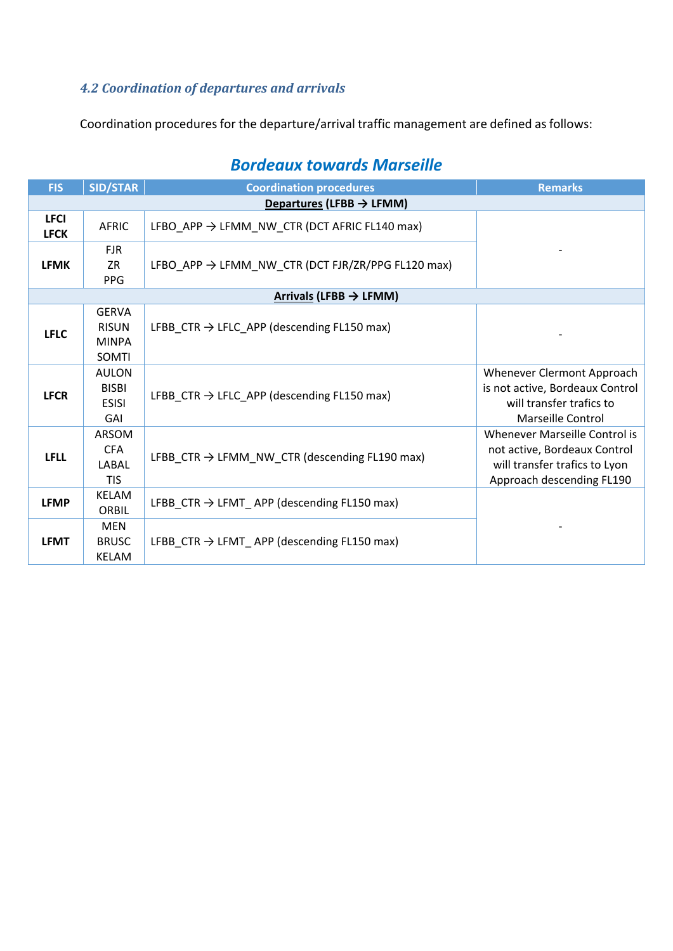# *4.2 Coordination of departures and arrivals*

Coordination procedures for the departure/arrival traffic management are defined as follows:

| <b>FIS</b>                           | <b>SID/STAR</b>                                       | <b>Coordination procedures</b>                                | <b>Remarks</b>                                                                                                              |  |
|--------------------------------------|-------------------------------------------------------|---------------------------------------------------------------|-----------------------------------------------------------------------------------------------------------------------------|--|
| Departures (LFBB $\rightarrow$ LFMM) |                                                       |                                                               |                                                                                                                             |  |
| <b>LFCI</b><br><b>LFCK</b>           | <b>AFRIC</b>                                          | LFBO_APP $\rightarrow$ LFMM_NW_CTR (DCT AFRIC FL140 max)      |                                                                                                                             |  |
| <b>LFMK</b>                          | <b>FJR</b><br><b>ZR</b><br><b>PPG</b>                 | LFBO APP $\rightarrow$ LFMM NW CTR (DCT FJR/ZR/PPG FL120 max) |                                                                                                                             |  |
|                                      |                                                       | Arrivals (LFBB $\rightarrow$ LFMM)                            |                                                                                                                             |  |
| <b>LFLC</b>                          | <b>GERVA</b><br><b>RISUN</b><br><b>MINPA</b><br>SOMTI | LFBB_CTR $\rightarrow$ LFLC_APP (descending FL150 max)        |                                                                                                                             |  |
| <b>LFCR</b>                          | <b>AULON</b><br><b>BISBI</b><br><b>ESISI</b><br>GAI   | LFBB CTR $\rightarrow$ LFLC APP (descending FL150 max)        | Whenever Clermont Approach<br>is not active, Bordeaux Control<br>will transfer trafics to<br>Marseille Control              |  |
| <b>LFLL</b>                          | ARSOM<br><b>CFA</b><br><b>LABAL</b><br><b>TIS</b>     | LFBB CTR $\rightarrow$ LFMM NW CTR (descending FL190 max)     | Whenever Marseille Control is<br>not active, Bordeaux Control<br>will transfer trafics to Lyon<br>Approach descending FL190 |  |
| <b>LFMP</b>                          | <b>KELAM</b><br>ORBIL                                 | LFBB_CTR $\rightarrow$ LFMT_APP (descending FL150 max)        |                                                                                                                             |  |
| <b>LFMT</b>                          | <b>MEN</b><br><b>BRUSC</b><br>KELAM                   | LFBB CTR $\rightarrow$ LFMT APP (descending FL150 max)        |                                                                                                                             |  |

# *Bordeaux towards Marseille*